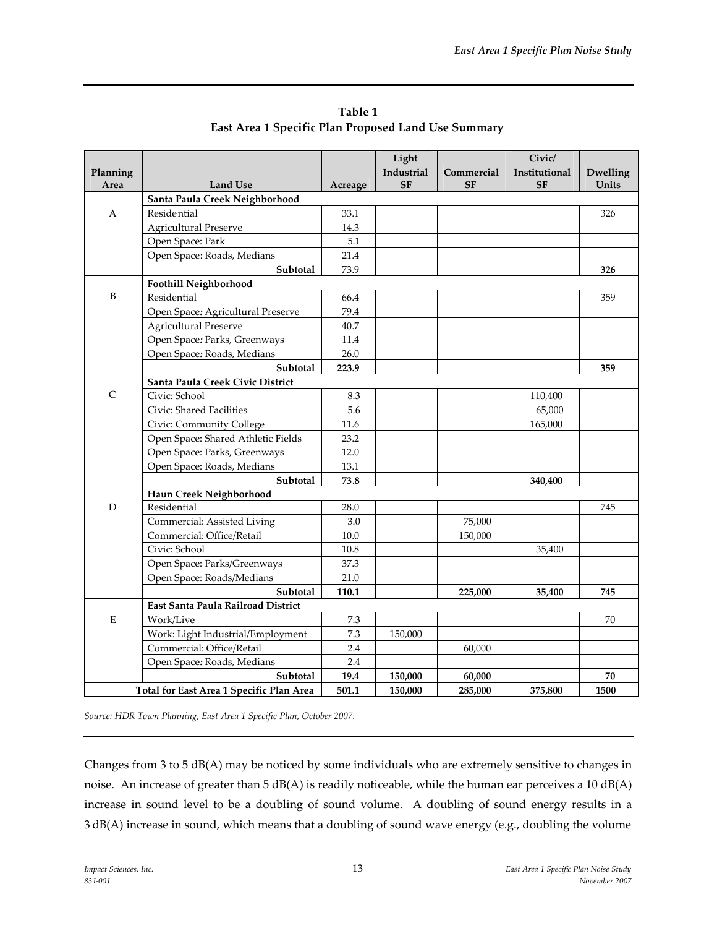|          |                                          |          | Light      |            | Civic/        |                 |
|----------|------------------------------------------|----------|------------|------------|---------------|-----------------|
| Planning |                                          |          | Industrial | Commercial | Institutional | <b>Dwelling</b> |
| Area     | <b>Land Use</b>                          | Acreage  | <b>SF</b>  | <b>SF</b>  | <b>SF</b>     | Units           |
|          | Santa Paula Creek Neighborhood           |          |            |            |               |                 |
| А        | <b>Residential</b>                       | 33.1     |            |            |               | 326             |
|          | <b>Agricultural Preserve</b>             | 14.3     |            |            |               |                 |
|          | Open Space: Park                         | 5.1      |            |            |               |                 |
|          | Open Space: Roads, Medians               | 21.4     |            |            |               |                 |
|          | Subtotal                                 | 73.9     |            |            |               | 326             |
|          | Foothill Neighborhood                    |          |            |            |               |                 |
| B        | Residential                              | 66.4     |            |            |               | 359             |
|          | Open Space: Agricultural Preserve        | 79.4     |            |            |               |                 |
|          | <b>Agricultural Preserve</b>             | 40.7     |            |            |               |                 |
|          | Open Space: Parks, Greenways             | 11.4     |            |            |               |                 |
|          | Open Space: Roads, Medians               | 26.0     |            |            |               |                 |
|          | Subtotal                                 | 223.9    |            |            |               | 359             |
|          | Santa Paula Creek Civic District         |          |            |            |               |                 |
| C        | Civic: School                            | 8.3      |            |            | 110,400       |                 |
|          | Civic: Shared Facilities                 | 5.6      |            |            | 65,000        |                 |
|          | Civic: Community College                 | 11.6     |            |            | 165,000       |                 |
|          | Open Space: Shared Athletic Fields       | 23.2     |            |            |               |                 |
|          | Open Space: Parks, Greenways             | 12.0     |            |            |               |                 |
|          | Open Space: Roads, Medians               | 13.1     |            |            |               |                 |
|          | Subtotal                                 | 73.8     |            |            | 340,400       |                 |
|          | Haun Creek Neighborhood                  |          |            |            |               |                 |
| D        | Residential                              | 28.0     |            |            |               | 745             |
|          | Commercial: Assisted Living              | 3.0      |            | 75,000     |               |                 |
|          | Commercial: Office/Retail                | $10.0\,$ |            | 150,000    |               |                 |
|          | Civic: School                            | 10.8     |            |            | 35,400        |                 |
|          | Open Space: Parks/Greenways              | 37.3     |            |            |               |                 |
|          | Open Space: Roads/Medians                | 21.0     |            |            |               |                 |
|          | Subtotal                                 | 110.1    |            | 225,000    | 35,400        | 745             |
|          | East Santa Paula Railroad District       |          |            |            |               |                 |
| E        | Work/Live                                | 7.3      |            |            |               | 70              |
|          | Work: Light Industrial/Employment        | 7.3      | 150,000    |            |               |                 |
|          | Commercial: Office/Retail                | 2.4      |            | 60,000     |               |                 |
|          | Open Space: Roads, Medians               | 2.4      |            |            |               |                 |
|          | Subtotal                                 | 19.4     | 150,000    | 60,000     |               | 70              |
|          | Total for East Area 1 Specific Plan Area | 501.1    | 150,000    | 285,000    | 375,800       | 1500            |

**Table 1 East Area 1 Specific Plan Proposed Land Use Summary**

*Source: HDR Town Planning, East Area 1 Specific Plan, October 2007.*

Changes from 3 to 5 dB(A) may be noticed by some individuals who are extremely sensitive to changes in noise. An increase of greater than 5 dB(A) is readily noticeable, while the human ear perceives a 10 dB(A) increase in sound level to be a doubling of sound volume. A doubling of sound energy results in a 3 dB(A) increase in sound, which means that a doubling of sound wave energy (e.g., doubling the volume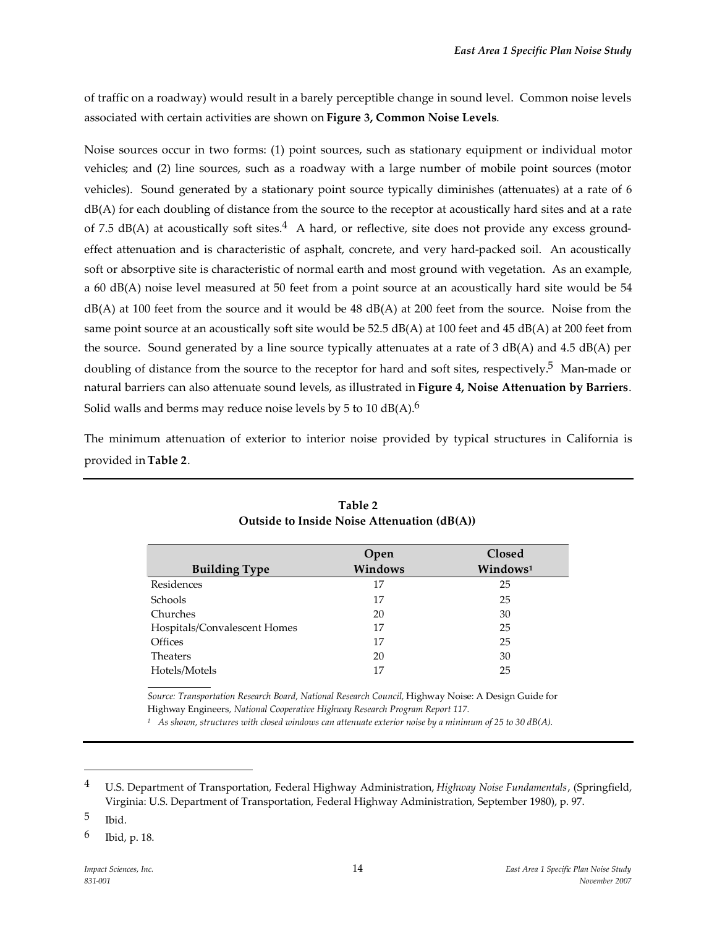of traffic on a roadway) would result in a barely perceptible change in sound level. Common noise levels associated with certain activities are shown on **Figure 3, Common Noise Levels**.

Noise sources occur in two forms: (1) point sources, such as stationary equipment or individual motor vehicles; and (2) line sources, such as a roadway with a large number of mobile point sources (motor vehicles). Sound generated by a stationary point source typically diminishes (attenuates) at a rate of 6 dB(A) for each doubling of distance from the source to the receptor at acoustically hard sites and at a rate of 7.5  $dB(A)$  at acoustically soft sites.<sup>4</sup> A hard, or reflective, site does not provide any excess groundeffect attenuation and is characteristic of asphalt, concrete, and very hard-packed soil. An acoustically soft or absorptive site is characteristic of normal earth and most ground with vegetation. As an example, a 60 dB(A) noise level measured at 50 feet from a point source at an acoustically hard site would be 54 dB(A) at 100 feet from the source and it would be 48 dB(A) at 200 feet from the source. Noise from the same point source at an acoustically soft site would be 52.5 dB(A) at 100 feet and 45 dB(A) at 200 feet from the source. Sound generated by a line source typically attenuates at a rate of 3 dB(A) and 4.5 dB(A) per doubling of distance from the source to the receptor for hard and soft sites, respectively.<sup>5</sup> Man-made or natural barriers can also attenuate sound levels, as illustrated in **Figure 4, Noise Attenuation by Barriers**. Solid walls and berms may reduce noise levels by 5 to 10  $dB(A)$ .<sup>6</sup>

The minimum attenuation of exterior to interior noise provided by typical structures in California is provided in**Table 2**.

|                              | Open    | Closed               |
|------------------------------|---------|----------------------|
| <b>Building Type</b>         | Windows | Windows <sup>1</sup> |
| Residences                   | 17      | 25                   |
| <b>Schools</b>               | 17      | 25                   |
| Churches                     | 20      | 30                   |
| Hospitals/Convalescent Homes | 17      | 25                   |
| <b>Offices</b>               | 17      | 25                   |
| <b>Theaters</b>              | 20      | 30                   |
| Hotels/Motels                | 17      | 25                   |

| Table 2                                     |
|---------------------------------------------|
| Outside to Inside Noise Attenuation (dB(A)) |

*Source: Transportation Research Board, National Research Council,* Highway Noise: A Design Guide for Highway Engineers*, National Cooperative Highway Research Program Report 117.*

*<sup>1</sup> As shown, structures with closed windows can attenuate exterior noise by a minimum of 25 to 30 dB(A).*

<sup>4</sup> U.S. Department of Transportation, Federal Highway Administration, *Highway Noise Fundamentals*, (Springfield, Virginia: U.S. Department of Transportation, Federal Highway Administration, September 1980), p. 97.

<sup>5</sup> Ibid.

<sup>6</sup> Ibid, p. 18.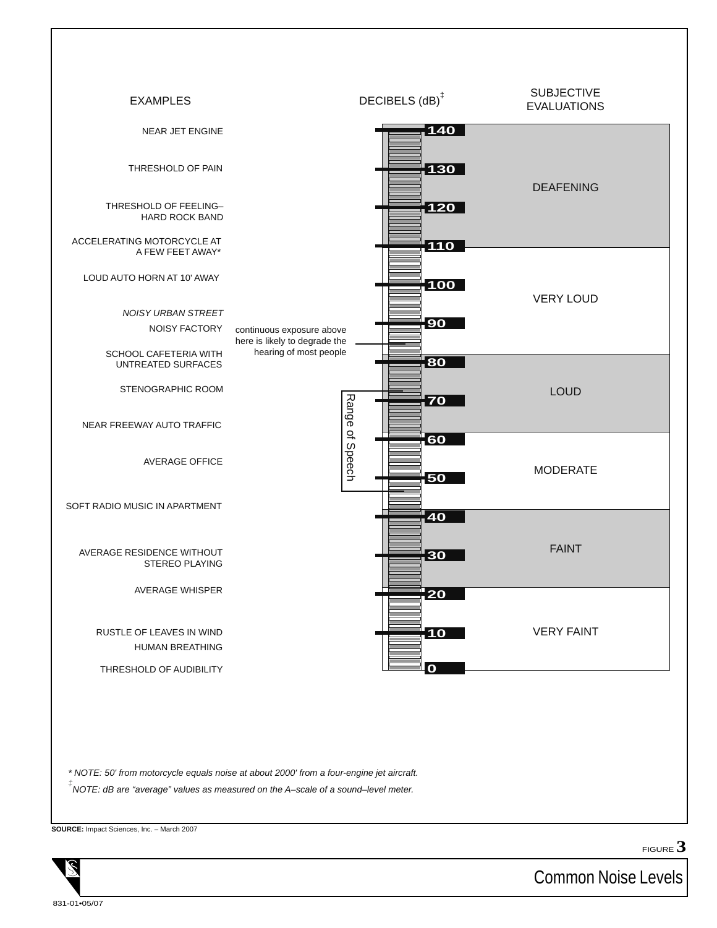

*\* NOTE: 50' from motorcycle equals noise at about 2000' from a four-engine jet aircraft.*

*‡ NOTE: dB are "average" values as measured on the A–scale of a sound–level meter.*

**SOURCE:** Impact Sciences, Inc. – March 2007



FIGURE **3**

Common Noise Levels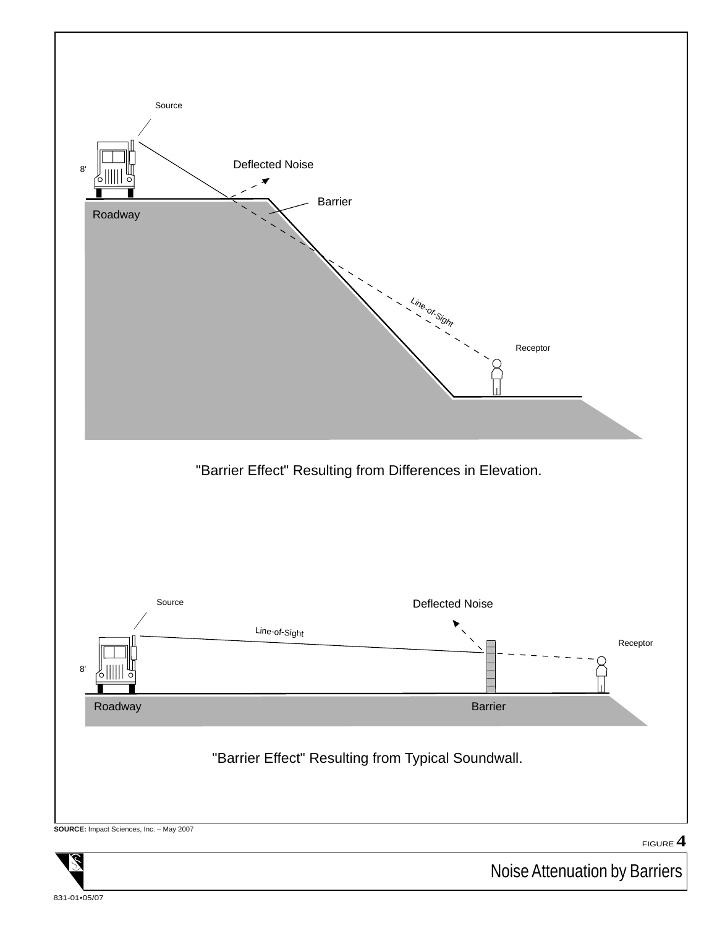

831-01•05/07

Noise Attenuation by Barriers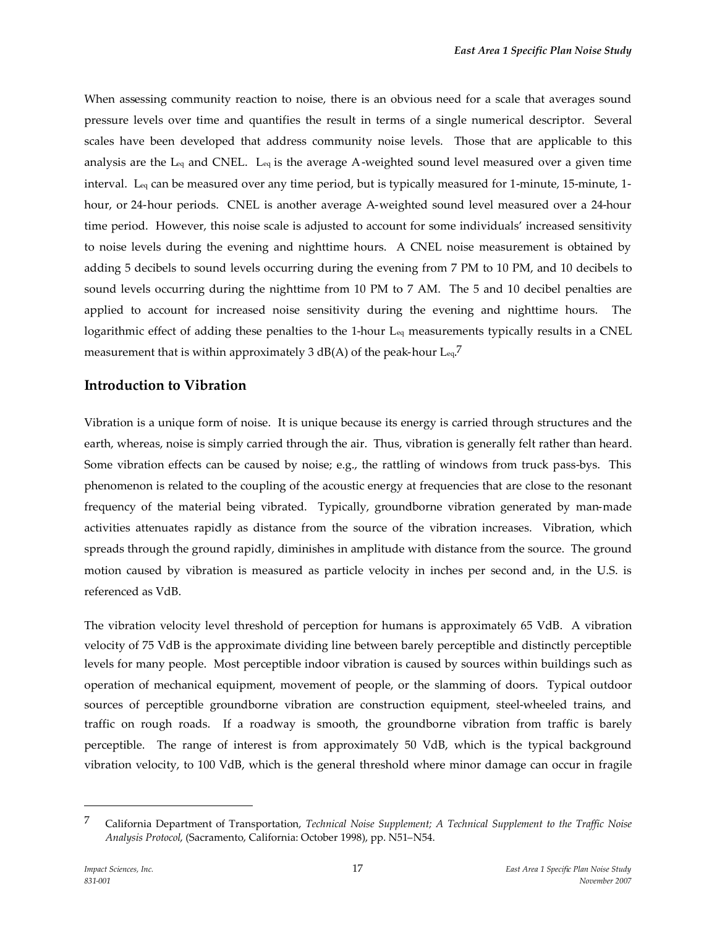When assessing community reaction to noise, there is an obvious need for a scale that averages sound pressure levels over time and quantifies the result in terms of a single numerical descriptor. Several scales have been developed that address community noise levels. Those that are applicable to this analysis are the L<sub>eq</sub> and CNEL. L<sub>eq</sub> is the average A-weighted sound level measured over a given time interval. Leq can be measured over any time period, but is typically measured for 1-minute, 15-minute, 1 hour, or 24-hour periods. CNEL is another average A-weighted sound level measured over a 24-hour time period. However, this noise scale is adjusted to account for some individuals' increased sensitivity to noise levels during the evening and nighttime hours. A CNEL noise measurement is obtained by adding 5 decibels to sound levels occurring during the evening from 7 PM to 10 PM, and 10 decibels to sound levels occurring during the nighttime from 10 PM to 7 AM. The 5 and 10 decibel penalties are applied to account for increased noise sensitivity during the evening and nighttime hours. The logarithmic effect of adding these penalties to the 1-hour L<sub>eq</sub> measurements typically results in a CNEL measurement that is within approximately 3 dB(A) of the peak-hour  $\text{L}_{\text{eq}}$ .<sup>7</sup>

#### **Introduction to Vibration**

Vibration is a unique form of noise. It is unique because its energy is carried through structures and the earth, whereas, noise is simply carried through the air. Thus, vibration is generally felt rather than heard. Some vibration effects can be caused by noise; e.g., the rattling of windows from truck pass-bys. This phenomenon is related to the coupling of the acoustic energy at frequencies that are close to the resonant frequency of the material being vibrated. Typically, groundborne vibration generated by man-made activities attenuates rapidly as distance from the source of the vibration increases. Vibration, which spreads through the ground rapidly, diminishes in amplitude with distance from the source. The ground motion caused by vibration is measured as particle velocity in inches per second and, in the U.S. is referenced as VdB.

The vibration velocity level threshold of perception for humans is approximately 65 VdB. A vibration velocity of 75 VdB is the approximate dividing line between barely perceptible and distinctly perceptible levels for many people. Most perceptible indoor vibration is caused by sources within buildings such as operation of mechanical equipment, movement of people, or the slamming of doors. Typical outdoor sources of perceptible groundborne vibration are construction equipment, steel-wheeled trains, and traffic on rough roads. If a roadway is smooth, the groundborne vibration from traffic is barely perceptible. The range of interest is from approximately 50 VdB, which is the typical background vibration velocity, to 100 VdB, which is the general threshold where minor damage can occur in fragile

<sup>7</sup> California Department of Transportation, *Technical Noise Supplement; A Technical Supplement to the Traffic Noise Analysis Protocol*, (Sacramento, California: October 1998), pp. N51–N54.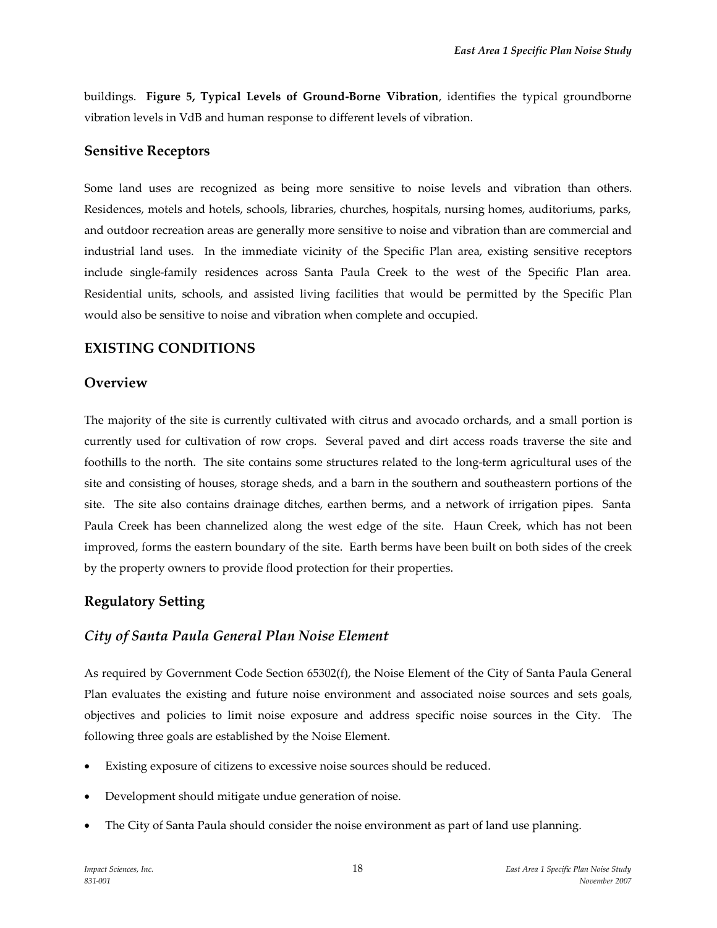buildings. **Figure 5, Typical Levels of Ground-Borne Vibration**, identifies the typical groundborne vibration levels in VdB and human response to different levels of vibration.

#### **Sensitive Receptors**

Some land uses are recognized as being more sensitive to noise levels and vibration than others. Residences, motels and hotels, schools, libraries, churches, hospitals, nursing homes, auditoriums, parks, and outdoor recreation areas are generally more sensitive to noise and vibration than are commercial and industrial land uses. In the immediate vicinity of the Specific Plan area, existing sensitive receptors include single-family residences across Santa Paula Creek to the west of the Specific Plan area. Residential units, schools, and assisted living facilities that would be permitted by the Specific Plan would also be sensitive to noise and vibration when complete and occupied.

# **EXISTING CONDITIONS**

#### **Overview**

The majority of the site is currently cultivated with citrus and avocado orchards, and a small portion is currently used for cultivation of row crops. Several paved and dirt access roads traverse the site and foothills to the north. The site contains some structures related to the long-term agricultural uses of the site and consisting of houses, storage sheds, and a barn in the southern and southeastern portions of the site. The site also contains drainage ditches, earthen berms, and a network of irrigation pipes. Santa Paula Creek has been channelized along the west edge of the site. Haun Creek, which has not been improved, forms the eastern boundary of the site. Earth berms have been built on both sides of the creek by the property owners to provide flood protection for their properties.

### **Regulatory Setting**

### *City of Santa Paula General Plan Noise Element*

As required by Government Code Section 65302(f), the Noise Element of the City of Santa Paula General Plan evaluates the existing and future noise environment and associated noise sources and sets goals, objectives and policies to limit noise exposure and address specific noise sources in the City. The following three goals are established by the Noise Element.

- Existing exposure of citizens to excessive noise sources should be reduced.
- Development should mitigate undue generation of noise.
- The City of Santa Paula should consider the noise environment as part of land use planning.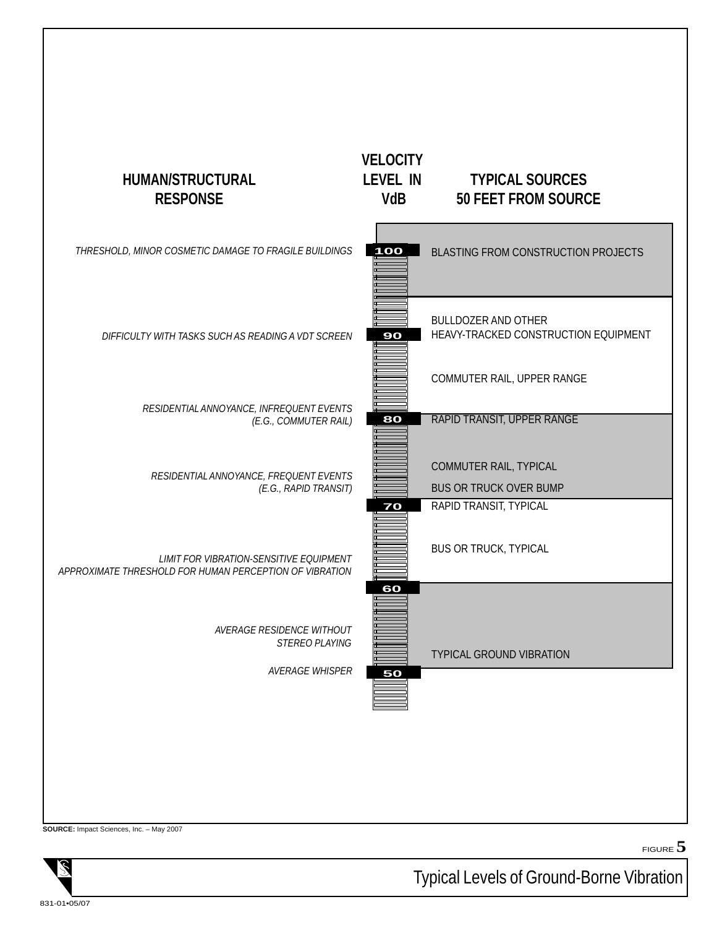

FIGURE **5**

**SOURCE:** Impact Sciences, Inc. – May 2007

Typical Levels of Ground-Borne Vibration

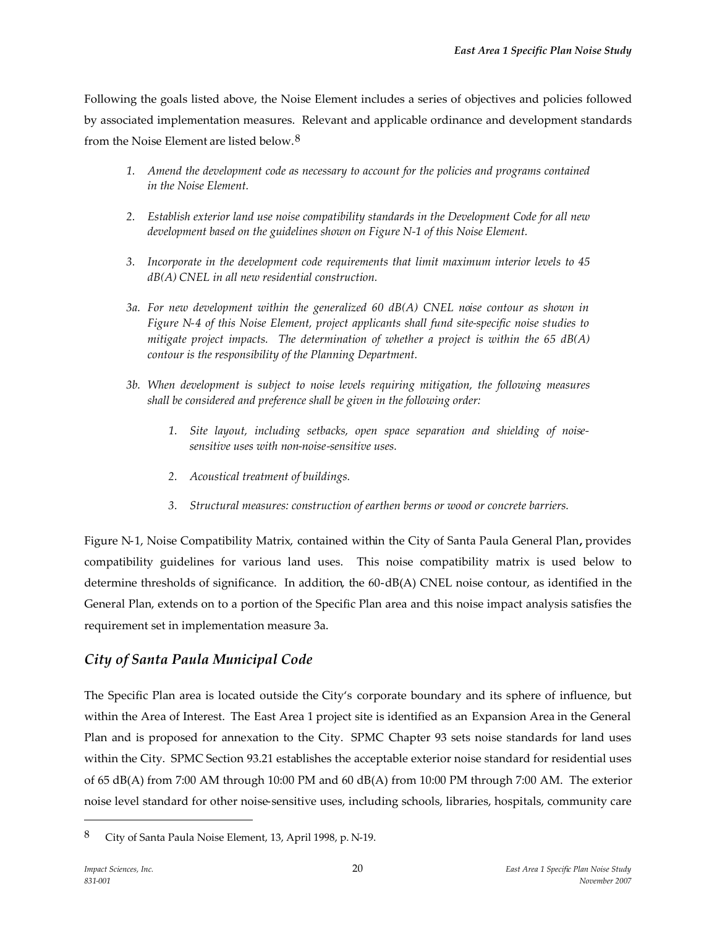Following the goals listed above, the Noise Element includes a series of objectives and policies followed by associated implementation measures. Relevant and applicable ordinance and development standards from the Noise Element are listed below.<sup>8</sup>

- *1. Amend the development code as necessary to account for the policies and programs contained in the Noise Element.*
- *2. Establish exterior land use noise compatibility standards in the Development Code for all new development based on the guidelines shown on Figure N-1 of this Noise Element.*
- *3. Incorporate in the development code requirements that limit maximum interior levels to 45 dB(A) CNEL in all new residential construction.*
- *3a. For new development within the generalized 60 dB(A) CNEL noise contour as shown in Figure N-4 of this Noise Element, project applicants shall fund site-specific noise studies to mitigate project impacts. The determination of whether a project is within the 65 dB(A) contour is the responsibility of the Planning Department.*
- *3b. When development is subject to noise levels requiring mitigation, the following measures shall be considered and preference shall be given in the following order:*
	- *1. Site layout, including setbacks, open space separation and shielding of noisesensitive uses with non-noise-sensitive uses.*
	- *2. Acoustical treatment of buildings.*
	- *3. Structural measures: construction of earthen berms or wood or concrete barriers.*

Figure N-1, Noise Compatibility Matrix, contained within the City of Santa Paula General Plan**,** provides compatibility guidelines for various land uses. This noise compatibility matrix is used below to determine thresholds of significance. In addition, the 60-dB(A) CNEL noise contour, as identified in the General Plan, extends on to a portion of the Specific Plan area and this noise impact analysis satisfies the requirement set in implementation measure 3a.

# *City of Santa Paula Municipal Code*

The Specific Plan area is located outside the City's corporate boundary and its sphere of influence, but within the Area of Interest. The East Area 1 project site is identified as an Expansion Area in the General Plan and is proposed for annexation to the City. SPMC Chapter 93 sets noise standards for land uses within the City. SPMC Section 93.21 establishes the acceptable exterior noise standard for residential uses of 65 dB(A) from 7:00 AM through 10:00 PM and 60 dB(A) from 10:00 PM through 7:00 AM. The exterior noise level standard for other noise-sensitive uses, including schools, libraries, hospitals, community care

<sup>8</sup> City of Santa Paula Noise Element, 13, April 1998, p. N-19.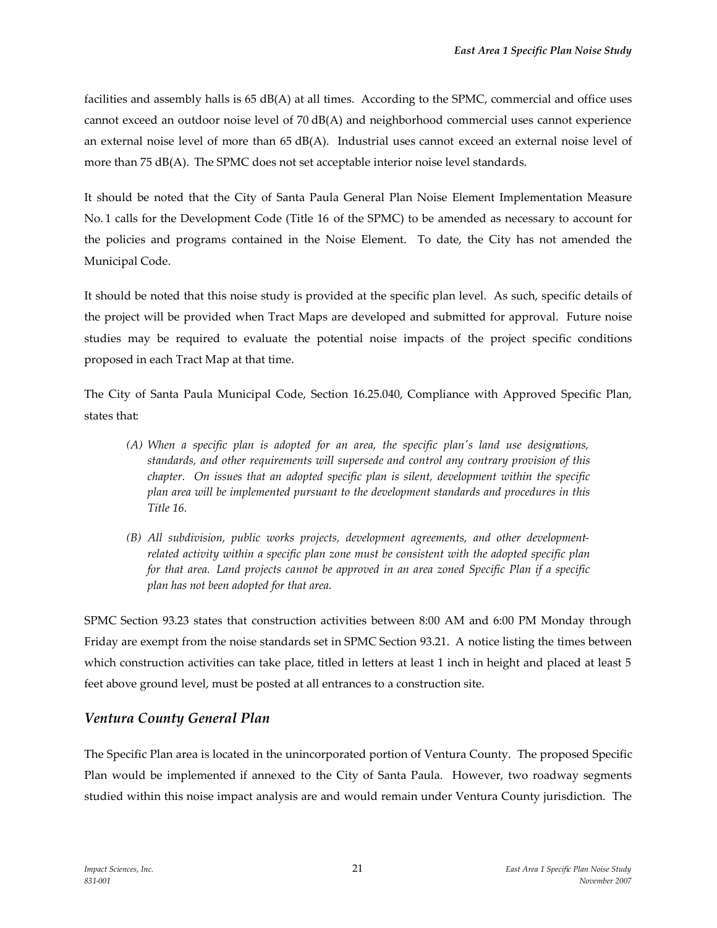facilities and assembly halls is  $65 \text{ dB}(A)$  at all times. According to the SPMC, commercial and office uses cannot exceed an outdoor noise level of 70 dB(A) and neighborhood commercial uses cannot experience an external noise level of more than 65 dB(A). Industrial uses cannot exceed an external noise level of more than 75 dB(A). The SPMC does not set acceptable interior noise level standards.

It should be noted that the City of Santa Paula General Plan Noise Element Implementation Measure No. 1 calls for the Development Code (Title 16 of the SPMC) to be amended as necessary to account for the policies and programs contained in the Noise Element. To date, the City has not amended the Municipal Code.

It should be noted that this noise study is provided at the specific plan level. As such, specific details of the project will be provided when Tract Maps are developed and submitted for approval. Future noise studies may be required to evaluate the potential noise impacts of the project specific conditions proposed in each Tract Map at that time.

The City of Santa Paula Municipal Code, Section 16.25.040, Compliance with Approved Specific Plan, states that:

- *(A) When a specific plan is adopted for an area, the specific plan's land use designations, standards, and other requirements will supersede and control any contrary provision of this chapter. On issues that an adopted specific plan is silent, development within the specific plan area will be implemented pursuant to the development standards and procedures in this Title 16.*
- *(B) All subdivision, public works projects, development agreements, and other developmentrelated activity within a specific plan zone must be consistent with the adopted specific plan for that area. Land projects cannot be approved in an area zoned Specific Plan if a specific plan has not been adopted for that area.*

SPMC Section 93.23 states that construction activities between 8:00 AM and 6:00 PM Monday through Friday are exempt from the noise standards set in SPMC Section 93.21. A notice listing the times between which construction activities can take place, titled in letters at least 1 inch in height and placed at least 5 feet above ground level, must be posted at all entrances to a construction site.

### *Ventura County General Plan*

The Specific Plan area is located in the unincorporated portion of Ventura County. The proposed Specific Plan would be implemented if annexed to the City of Santa Paula. However, two roadway segments studied within this noise impact analysis are and would remain under Ventura County jurisdiction. The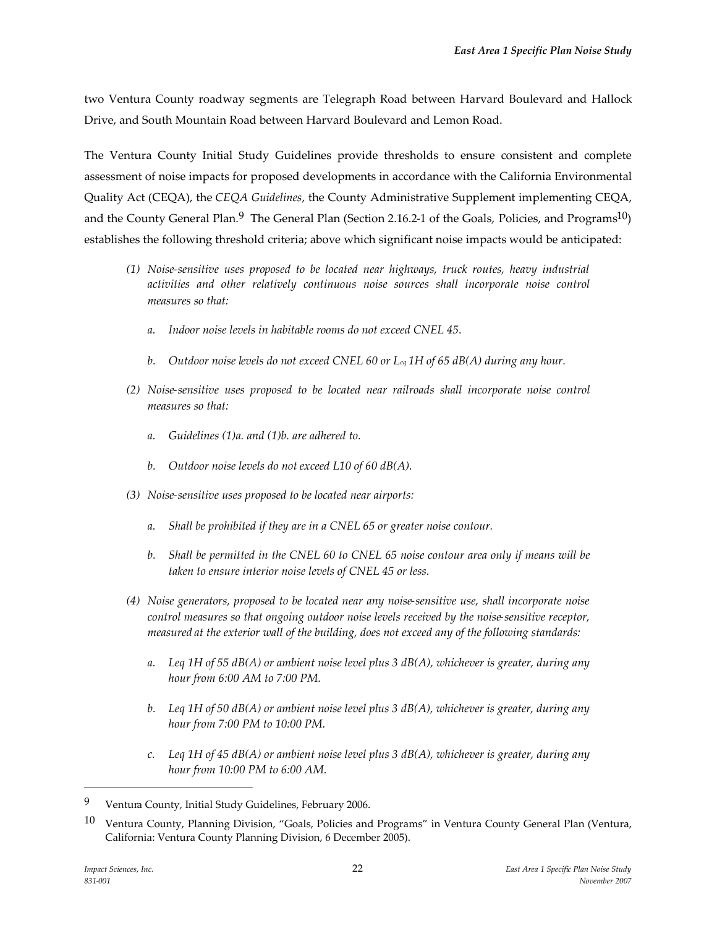two Ventura County roadway segments are Telegraph Road between Harvard Boulevard and Hallock Drive, and South Mountain Road between Harvard Boulevard and Lemon Road.

The Ventura County Initial Study Guidelines provide thresholds to ensure consistent and complete assessment of noise impacts for proposed developments in accordance with the California Environmental Quality Act (CEQA), the *CEQA Guidelines*, the County Administrative Supplement implementing CEQA, and the County General Plan.<sup>9</sup> The General Plan (Section 2.16.2-1 of the Goals, Policies, and Programs<sup>10</sup>) establishes the following threshold criteria; above which significant noise impacts would be anticipated:

- *(1) Noise-sensitive uses proposed to be located near highways, truck routes, heavy industrial activities and other relatively continuous noise sources shall incorporate noise control measures so that:*
	- *a. Indoor noise levels in habitable rooms do not exceed CNEL 45.*
	- *b. Outdoor noise levels do not exceed CNEL 60 or Leq 1H of 65 dB(A) during any hour.*
- *(2) Noise-sensitive uses proposed to be located near railroads shall incorporate noise control measures so that:*
	- *a. Guidelines (1)a. and (1)b. are adhered to.*
	- *b. Outdoor noise levels do not exceed L10 of 60 dB(A).*
- *(3) Noise-sensitive uses proposed to be located near airports:*
	- *a. Shall be prohibited if they are in a CNEL 65 or greater noise contour.*
	- *b. Shall be permitted in the CNEL 60 to CNEL 65 noise contour area only if means will be taken to ensure interior noise levels of CNEL 45 or less.*
- *(4) Noise generators, proposed to be located near any noise-sensitive use, shall incorporate noise control measures so that ongoing outdoor noise levels received by the noise-sensitive receptor, measured at the exterior wall of the building, does not exceed any of the following standards:*
	- *a. Leq 1H of 55 dB(A) or ambient noise level plus 3 dB(A), whichever is greater, during any hour from 6:00 AM to 7:00 PM.*
	- *b. Leq 1H of 50 dB(A) or ambient noise level plus 3 dB(A), whichever is greater, during any hour from 7:00 PM to 10:00 PM.*
	- *c. Leq 1H of 45 dB(A) or ambient noise level plus 3 dB(A), whichever is greater, during any hour from 10:00 PM to 6:00 AM.*

<sup>9</sup> Ventura County, Initial Study Guidelines, February 2006.

<sup>10</sup> Ventura County, Planning Division, "Goals, Policies and Programs" in Ventura County General Plan (Ventura, California: Ventura County Planning Division, 6 December 2005).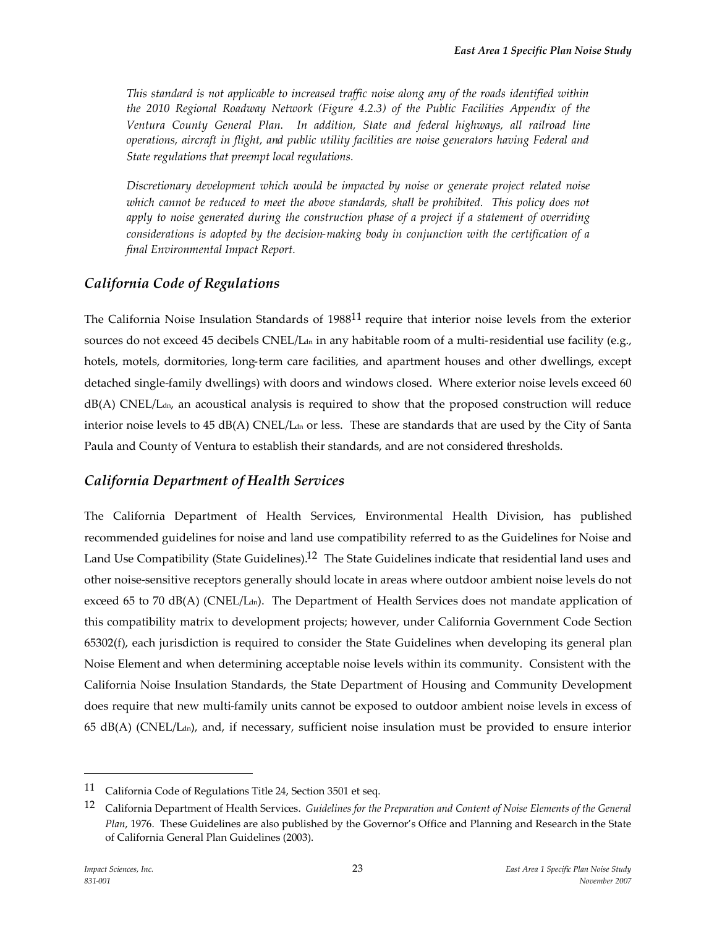*This standard is not applicable to increased traffic noise along any of the roads identified within the 2010 Regional Roadway Network (Figure 4.2.3) of the Public Facilities Appendix of the Ventura County General Plan. In addition, State and federal highways, all railroad line operations, aircraft in flight, and public utility facilities are noise generators having Federal and State regulations that preempt local regulations.*

*Discretionary development which would be impacted by noise or generate project related noise which cannot be reduced to meet the above standards, shall be prohibited. This policy does not apply to noise generated during the construction phase of a project if a statement of overriding considerations is adopted by the decision-making body in conjunction with the certification of a final Environmental Impact Report.*

### *California Code of Regulations*

The California Noise Insulation Standards of 1988<sup>11</sup> require that interior noise levels from the exterior sources do not exceed 45 decibels CNEL/L<sub>dn</sub> in any habitable room of a multi-residential use facility (e.g., hotels, motels, dormitories, long-term care facilities, and apartment houses and other dwellings, except detached single-family dwellings) with doors and windows closed. Where exterior noise levels exceed 60  $dB(A)$  CNEL/L<sub>dn</sub>, an acoustical analysis is required to show that the proposed construction will reduce interior noise levels to  $45 \text{ dB}(A)$  CNEL/L<sub>dn</sub> or less. These are standards that are used by the City of Santa Paula and County of Ventura to establish their standards, and are not considered thresholds.

### *California Department of Health Services*

The California Department of Health Services, Environmental Health Division, has published recommended guidelines for noise and land use compatibility referred to as the Guidelines for Noise and Land Use Compatibility (State Guidelines).<sup>12</sup> The State Guidelines indicate that residential land uses and other noise-sensitive receptors generally should locate in areas where outdoor ambient noise levels do not exceed 65 to 70 dB(A) (CNEL/L<sub>dn</sub>). The Department of Health Services does not mandate application of this compatibility matrix to development projects; however, under California Government Code Section 65302(f), each jurisdiction is required to consider the State Guidelines when developing its general plan Noise Element and when determining acceptable noise levels within its community. Consistent with the California Noise Insulation Standards, the State Department of Housing and Community Development does require that new multi-family units cannot be exposed to outdoor ambient noise levels in excess of 65 dB(A) (CNEL/Ldn), and, if necessary, sufficient noise insulation must be provided to ensure interior

<sup>11</sup> California Code of Regulations Title 24, Section 3501 et seq.

<sup>12</sup> California Department of Health Services. *Guidelines for the Preparation and Content of Noise Elements of the General Plan*, 1976. These Guidelines are also published by the Governor's Office and Planning and Research in the State of California General Plan Guidelines (2003).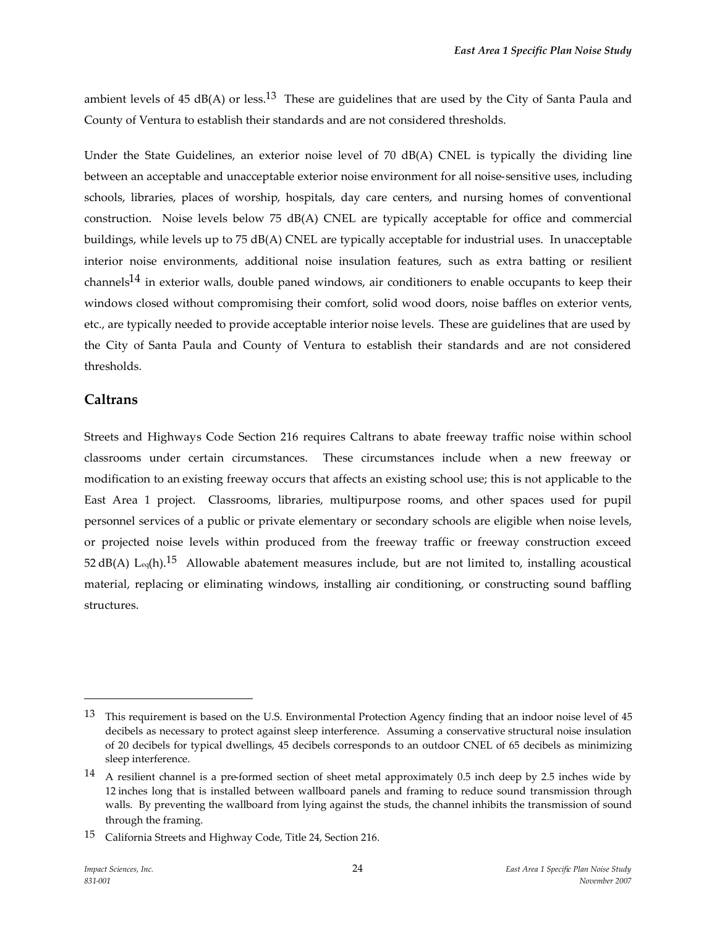ambient levels of 45 dB(A) or less.<sup>13</sup> These are guidelines that are used by the City of Santa Paula and County of Ventura to establish their standards and are not considered thresholds.

Under the State Guidelines, an exterior noise level of 70 dB(A) CNEL is typically the dividing line between an acceptable and unacceptable exterior noise environment for all noise-sensitive uses, including schools, libraries, places of worship, hospitals, day care centers, and nursing homes of conventional construction. Noise levels below 75 dB(A) CNEL are typically acceptable for office and commercial buildings, while levels up to 75 dB(A) CNEL are typically acceptable for industrial uses. In unacceptable interior noise environments, additional noise insulation features, such as extra batting or resilient channels<sup>14</sup> in exterior walls, double paned windows, air conditioners to enable occupants to keep their windows closed without compromising their comfort, solid wood doors, noise baffles on exterior vents, etc., are typically needed to provide acceptable interior noise levels. These are guidelines that are used by the City of Santa Paula and County of Ventura to establish their standards and are not considered thresholds.

#### **Caltrans**

Streets and Highways Code Section 216 requires Caltrans to abate freeway traffic noise within school classrooms under certain circumstances. These circumstances include when a new freeway or modification to an existing freeway occurs that affects an existing school use; this is not applicable to the East Area 1 project. Classrooms, libraries, multipurpose rooms, and other spaces used for pupil personnel services of a public or private elementary or secondary schools are eligible when noise levels, or projected noise levels within produced from the freeway traffic or freeway construction exceed 52 dB(A) L<sub>eq</sub>(h).<sup>15</sup> Allowable abatement measures include, but are not limited to, installing acoustical material, replacing or eliminating windows, installing air conditioning, or constructing sound baffling structures.

<sup>&</sup>lt;sup>13</sup> This requirement is based on the U.S. Environmental Protection Agency finding that an indoor noise level of 45 decibels as necessary to protect against sleep interference. Assuming a conservative structural noise insulation of 20 decibels for typical dwellings, 45 decibels corresponds to an outdoor CNEL of 65 decibels as minimizing sleep interference.

<sup>14</sup> A resilient channel is a pre-formed section of sheet metal approximately 0.5 inch deep by 2.5 inches wide by 12 inches long that is installed between wallboard panels and framing to reduce sound transmission through walls. By preventing the wallboard from lying against the studs, the channel inhibits the transmission of sound through the framing.

<sup>15</sup> California Streets and Highway Code, Title 24, Section 216.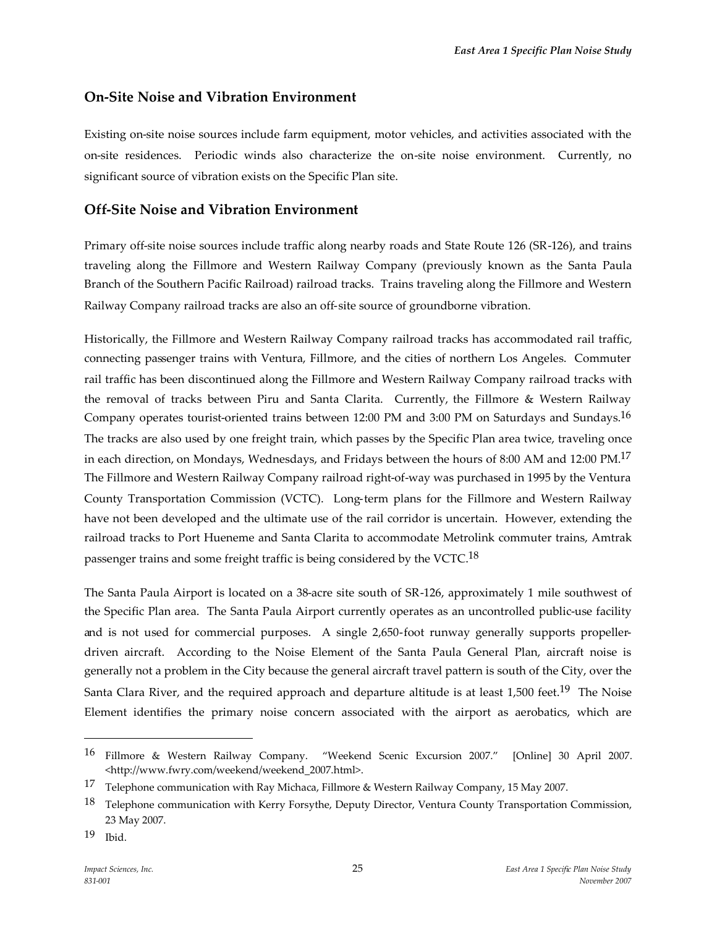# **On-Site Noise and Vibration Environment**

Existing on-site noise sources include farm equipment, motor vehicles, and activities associated with the on-site residences. Periodic winds also characterize the on-site noise environment. Currently, no significant source of vibration exists on the Specific Plan site.

### **Off-Site Noise and Vibration Environment**

Primary off-site noise sources include traffic along nearby roads and State Route 126 (SR-126), and trains traveling along the Fillmore and Western Railway Company (previously known as the Santa Paula Branch of the Southern Pacific Railroad) railroad tracks. Trains traveling along the Fillmore and Western Railway Company railroad tracks are also an off-site source of groundborne vibration.

Historically, the Fillmore and Western Railway Company railroad tracks has accommodated rail traffic, connecting passenger trains with Ventura, Fillmore, and the cities of northern Los Angeles. Commuter rail traffic has been discontinued along the Fillmore and Western Railway Company railroad tracks with the removal of tracks between Piru and Santa Clarita. Currently, the Fillmore & Western Railway Company operates tourist-oriented trains between 12:00 PM and 3:00 PM on Saturdays and Sundays.16 The tracks are also used by one freight train, which passes by the Specific Plan area twice, traveling once in each direction, on Mondays, Wednesdays, and Fridays between the hours of 8:00 AM and 12:00 PM.17 The Fillmore and Western Railway Company railroad right-of-way was purchased in 1995 by the Ventura County Transportation Commission (VCTC). Long-term plans for the Fillmore and Western Railway have not been developed and the ultimate use of the rail corridor is uncertain. However, extending the railroad tracks to Port Hueneme and Santa Clarita to accommodate Metrolink commuter trains, Amtrak passenger trains and some freight traffic is being considered by the VCTC.<sup>18</sup>

The Santa Paula Airport is located on a 38-acre site south of SR-126, approximately 1 mile southwest of the Specific Plan area. The Santa Paula Airport currently operates as an uncontrolled public-use facility and is not used for commercial purposes. A single 2,650-foot runway generally supports propellerdriven aircraft. According to the Noise Element of the Santa Paula General Plan, aircraft noise is generally not a problem in the City because the general aircraft travel pattern is south of the City, over the Santa Clara River, and the required approach and departure altitude is at least 1,500 feet.<sup>19</sup> The Noise Element identifies the primary noise concern associated with the airport as aerobatics, which are

<sup>16</sup> Fillmore & Western Railway Company. "Weekend Scenic Excursion 2007." [Online] 30 April 2007. <http://www.fwry.com/weekend/weekend\_2007.html>.

<sup>17</sup> Telephone communication with Ray Michaca, Fillmore & Western Railway Company, 15 May 2007.

<sup>&</sup>lt;sup>18</sup> Telephone communication with Kerry Forsythe, Deputy Director, Ventura County Transportation Commission, 23 May 2007.

<sup>19</sup> Ibid.